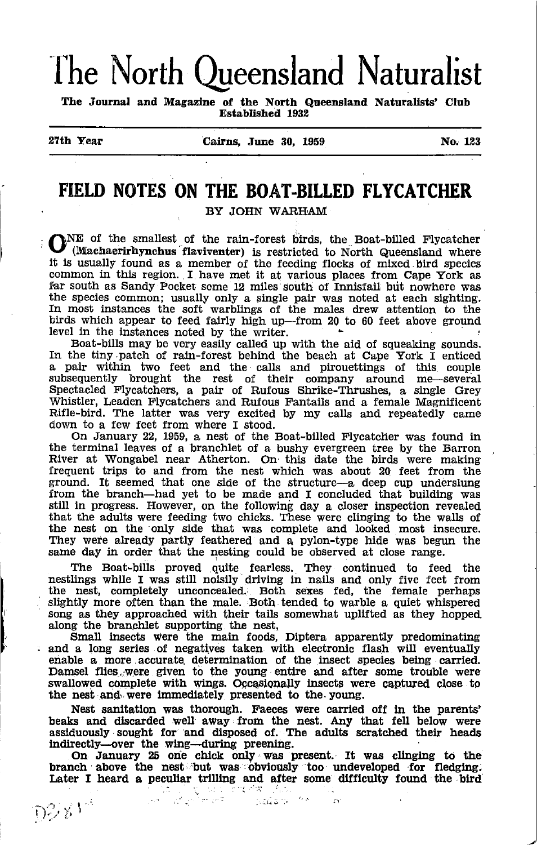# The North Queensland Naturalist

The Journal and Magazine of the North Queensland Naturalists' Club Established 1932

 $D281$ 

27tb Year Calrns, June 30, <sup>1959</sup> No <sup>123</sup>

# FIELD NOTES ON THE BOAT-BILLED FLYCATCHER

**ONE** of the smallest of the rain-forest birds, the Boat-billed Flycatcher (Machaerirhynchus flaviventer) is restricted to North Queensland where it is usually found as a member of the feeding flocks of mixed bird species common in this region. I have met it at various places from Cape York as far south as Sandy Pocket some 12 miles south of Innisfail but nowhere was the species common; usually only a single pair was noted at each sighting. In most instances the soft warblings of the males drew attention to the birds which appear to feed fairly high up-from 20 to 60 feet above ground

level in the instances noted by the writer. Boat-bills may be very easily called up with the aid of squeaking sounds.<br>In the tiny patch of rain-forest behind the beach at Cape York I enticed a pair within two feet and the calls and pirouettings of this couple subsequently brought the rest of their company around me-several Spectacled Flycatchers, a pair of Rufous Shrike-Thrushes, a single Grey Whistler, Leaden Flycatchers and Rufous Fantails and a female Magnificent Rifle-bird. The latter was very excited by my calls and repeatedly came down to a few feet from where I stood.

On January 22, L959, a nest of the Boat-billed Flycatcher was found in the terminal leaves of a branchlet of a bushy evergreen tree by the Barron River at Wongabel near Atherton. On this date the birds were making frequent trips to and from the nest which was about 20 feet from the ground. It seemed that one side of the structure-a deep cup underslung from the branch-had yet to be made and I concluded that building was still in progress. However, on the following day a closer inspection revealed that the adults were feeding two chicks. These were clinging to the walls of the nest on the 'only side that was complete and looked most insecure. They were already partly feathered and a pylon-type hide was begun the same day in order that the nesting could be observed at close range.

The Boat-bills proved quite fearless. They continued to feed the nestlings while I was still noisily driving in nails and only five feet from the nest, completely unconcealed. Both sexes fed, the female perhaps slightly more often than the male. Both tended to warble a quiet whispered song as they approached \dth their tails somewhat uplifted as they hopped. along the branchlet supporting the nest,

Small insects were the main foods, Diptera apparently predominating and a long series of negatives taken with electronic flash will eventually enable a more accurate determination of the insect species being carried. Damsel flies, were given to the young entire and after some trouble were swallowed complete with wings. Occasionally insects were captured close to the nest and, were immediately presented to the young.

Nest sanitation was thorough. Faeces were carried off in the parents' beaks and discarded well away from the nest. Any that fell below were assiduously sought for and disposed of. The adults scratched their heads

indirectly--over the wing--during preening.<br>On January 25 one chick only was present. It was clinging to the branch above the nest but was obviously too undeveloped for fledging. Later I heard a peculiar trilling and after some difficulty found the bird

. -  $\mathcal{L}$  :  $\mathcal{L}$  :  $\mathcal{L}$  :  $\mathcal{L}$  :  $\mathcal{L}$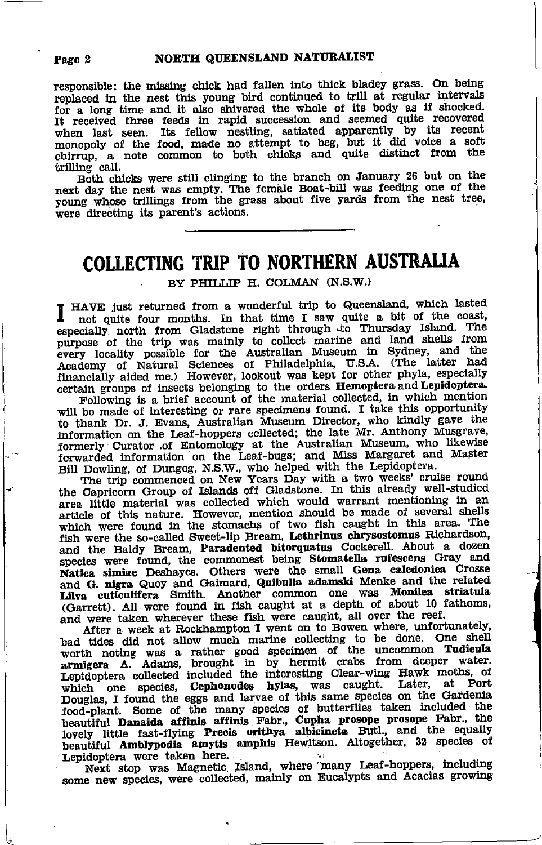responsible: the missing chick had fallen into thick bladey grass. On being replaced in the nest this young bird continued to trill at regular intervals for a long time and it also shivered the whole of its body as if shocked. It received three feeds in rapid succession and seemed quite recovered when last seen. Its fellow nestling, satiated apparently by its recent monopoly of the food, made no attempt to beg, but it did voice a soft chirrup, a note common to both chicks and quite distinct from the trilling call.

Both chicks were still clinging to the branch on January 26 but on the next day the nest was empty. The female Boat-bill was feeding one of the young whose trillings from the grass about five yards from the nest tree, were directing its parent's actions.

## **COLLECTING TRIP TO NORTHERN AUSTRALIA**

BY PHILLIP H. COLMAN (N.S.W.)

HAVE just returned from a wonderful trip to Queensland, which lasted not quite four months. In that time I saw quite a bit of the coast, especially north from Gladstone right through to Thursday Island. The purpose of the trip was mainly to collect marine and land shells from every locality possible for the Australian Museum in Sydney, and the Academy of Natural Sciences of Philadelphia, U.S.A. (The latter had financially aided me.) However, lookout was kept for other phyla, especially certain groups of insects belonging to the orders Hemoptera and Lepidoptera.

Following is a brief account of the material collected, in which mention will be made of interesting or rare specimens found. I take this opportunity when the matter of methods on Nustralian Museum Director, who kindly gave the information on the Leaf-hoppers collected; the late Mr. Anthony Musgrave, formerly Curator of Entomology at the Australian Museum, who likewise

the Capricorn Group of Islands off Gladstone. In this already well-studied area little material was collected which would warrant mentioning in an article of this nature. However, mention should be made of several shells which were found in the stomachs of two fish caught in this area. The fish were the so-called Sweet-lip Bream, Lethrinus chrysostomus Richardson, and the Baldy Bream, Paradented bitorquatus Cockerell. About a dozen species were found, the commonest being Stomatella rufescens Gray and Natica simiae Deshayes. Others were the small Gena caledonica Crosse and G. nigra Quoy and Gaimard, Quibulla adamski Menke and the related Lilva cutieulifera Smith. Another common one was Monilea striatula (Garrett). All were found in fish caught at a depth of about 10 fathoms, and were taken wherever these fish were caught, all over the reef.

After a week at Rockhampton I went on to Bowen where, unfortunately, bad tides did not allow much marine collecting to be done. One shell worth noting was a rather good specimen of the uncommon Tudieula armigera A. Adams, brought in by hermit crabs from deeper water. Lepidoptera collected included the interesting Clear-wing Hawk moths, of which one species, Cephonodes hylas, was caught. Later, at Port Douglas, I found the eggs and larvae of this same species on the Gardenia food-plant. Some of the many species of butterflies taken included the beautiful Danaida affinis affinis Fabr., Cupha prosope prosope Fabr., the lovely little fast-flying Precis orithya albicincta Butl., and the equally beautiful Amblypodia amytis amphis Hewitson. Altogether, 32 species of

Lepidoptera were taken here.<br>
Next stop was Magnetic Island, where many Leaf-hoppers, including some new species, were collected, mainly on Eucalypts and Acaclas growing

#### Page 2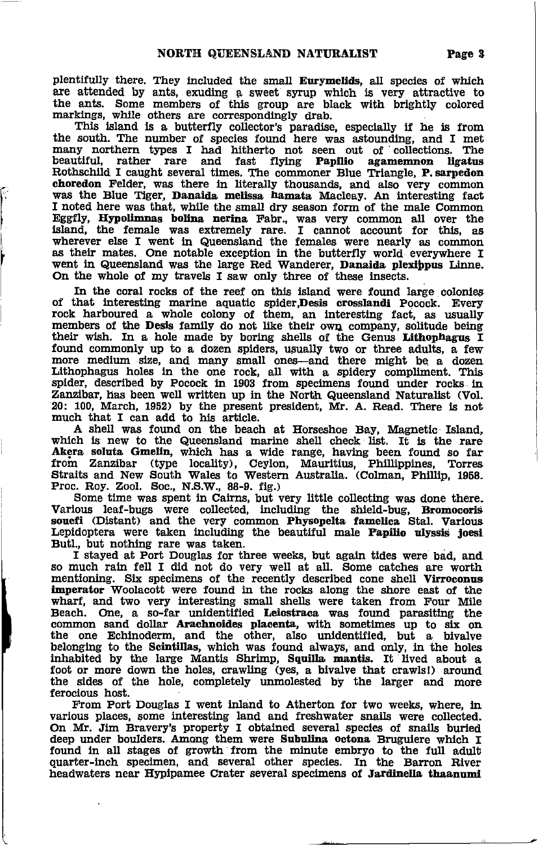plentifully there. They included the small Eurymelids, all species of which are attended by ants, exuding a sweet syrup which is very attractive to the ants. Some members of this group are black with brightly colored markings, while others are correspondingly drab.

This island is a butterfly collector's paradise, especially if he is from the south. The number of species found here was astounding, and I met many northern types I had hitherto not seen out of collections. The beautiful, rather rare and fast flying **Papilio agamemnon ligatus** Papilio agamemnon ligatus Rothschild I caught several times. The commoner Blue Triangle, P. sarpedon choredon Felder, was there in literally thousands, and also very common was the Blue Tiger, Danaida melissa hamata Macleay. An interesting fact I noted here was that, while the small dry season form of the male Common Eggfly, Ifypollmnas bollna nerlna Fabr., waa very common all over the island, the female was extremely rare. I cannot account for this, as wherever else I went in Queensland the females were nearly as common as their mates. One notable exception in the butterfly world everywhere I went in Queensland was the large Red Wanderer, Danaida plexippus Linne.<br>On the whole of my travels I saw only three of these insects.

In the coral rocks of the reef on this island were found large colonies of that interesting marine aquatic spider, Desis crosslandi Pocock. Every rock harboured a whole colony of them, an interesting fact, as usually<br>members of the Desis family do not like their own company, solitude being<br>their wish. In a hole made by boring shells of the Genus Lithophagus I found commonly up to a dozen spiders, usually two or three adults, a few more medium slze, and many small ones—and there might be a dozen<br>Lithophagus holes in the one rock, all with a spidery compliment. This<br>spider, described by Pocock in 1903 from specimens found under rocks in Zanzibar, has been well written up in the North Queensland Naturalist (Vol. 20: 100, March, 1952) by the present president, Mr. A. Read. There is not much that I can add to his article.

A shell was found on the beach at Horseshoe Bay, Magnetic Island, which is new to the Queensland marine shell check list. It is the rare Akera soluta Gmelin, which has a wide range, having been found so far Akera soluta Gmelin, which has a wide range, having been found so far<br>from Zanzibar (type locality), Ceylon, Mauritius, Phillippines, Torres Straits and New South Wales to Western Australia. (Colman, Phillip, 1958. Proc. Roy. Zool. Soc., N.S.W., 88-9. fig.)

Some time was spent in Cairns, but very little collecting was done there. Various leaf-bugs were collected, including the shield-bug, Bromocoris souefi (Distant) and the very common Physopelta famelica Stal. Various Lepidoptera were taken including the beautiful male Papilio ulyssis joesi<br>Butl., but nothing rare was taken.<br>I stayed at Port Douglas for three weeks, but again tides were bad, and

so much raln fell I did not do very well at all. gome catches are worth mentioning. Six specimens of the recently described cone shell Virroconus imperator Woolacott were found in the rocks along the shore east of the wharf, and two very interesting small shells were taken from Four Mile Beach. One, a so-far unidentified Leiostraca was found parasiting the common sand dollar Arachnoides placenta, with sometimes up to six on the one Echinoderm, and the other, also unidentified, but a bivalve belonglng to the Scintillas, whlch was found always, and only, in the holes thrabited by the large Mantis Shrimp, Squilla mantis. It lived about a foot or more down the holes, crawling (yes, a bivalve that crawls!) around the sides of the hole, completely unmolested by the larger and more feroclous host.

From Port Douglas I went inland to Atherton for two weeks, where, in various places, some interesting land and freshwater snails were collected.<br>On Mr. Jim Bravery's property I obtained several species of snails buried deep under boulders. Among them were Subullna octona Bruguiere which f found in all stages of growth from the minute embryo to the full adult quarter-inch specimen, and several other species. In the Barron River headwaters near Hypipamee Crater several specimens of Jardinella thaanumi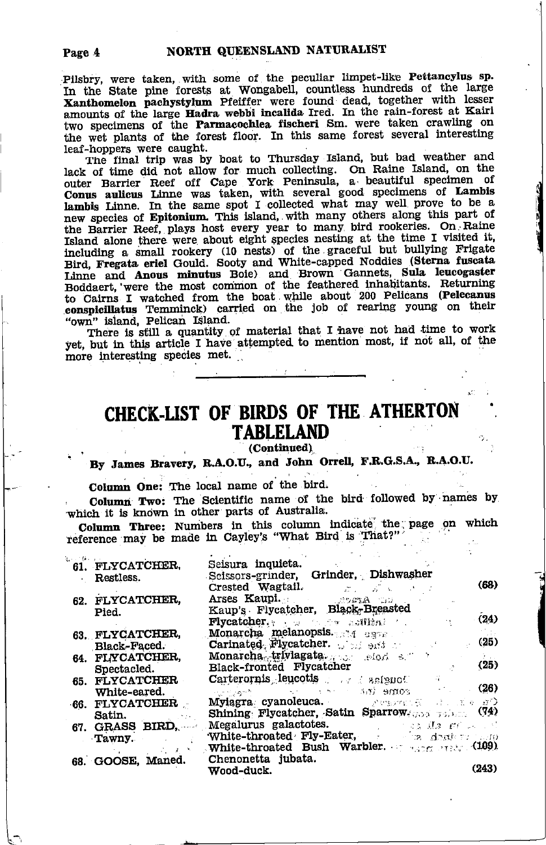Pilsbry, were taken, with some of the peculiar limpet-like Pettancylus sp. I have the state pine forests at Wongabell, countless hundreds of the large Xanthomelon pachystylum Pfeiffer were found dead, together with lesser amounts of the large Hadra webbi incalida Ired. In the rain-forest at Kairi two specimens of the Parmacochiea fischeri Sm. were taken crawling on the wet plants of the forest floor. In this same forest several interesting leaf-hoppers were caught.

The final trip was by boat to Thursday Island, but bad weather and lack of time did not allow for much collecting. On Raine Island, on the other Barrier Reef off Cape York Peninsula, a beautiful specimen of Conus auticus Linne was taken, with several good specimens of Lambis lambis Linne. new species of Epitonium. This island, with many others along this part of the Barrier Reef, plays host every year to many bird rookeries. On Raine Island alone there were about eight species nesting at the time I visited it, including a small rookery (10 nests) of the graceful but bullying Frigate<br>Bird, Fregata eriel Gould. Sooty and White-capped Noddies (Sterna fuscata Linne and Anous minutus Boie) and Brown Gannets, Sula leucogaster Boddaert, were the most common of the feathered inhabitants. Returning to Cairns I watched from the boat while about 200 Pelicans (Pelecanus<br>conspicillatus Temminck) carried on the job of rearing young on their "own" island, Pelican Island.

There is still a quantity of material that I have not had time to work yet, but in this article I have attempted to mention most, if not all, of the more interesting species met.

## CHECK-LIST OF BIRDS OF THE ATHERTON **TABLELAND**

(Continued)

By James Bravery, R.A.O.U., and John Orrell, F.R.G.S.A., R.A.O.U.

Column One: The local name of the bird.

Column Two: The Scientific name of the bird followed by names by which it is known in other parts of Australia.

Column Three: Numbers in this column indicate the page on which reference may be made in Cayley's "What Bird is That?"

| 61. FLYCATCHER,   | Seisura inquieta.                                                                                                                                                                                                                   |
|-------------------|-------------------------------------------------------------------------------------------------------------------------------------------------------------------------------------------------------------------------------------|
| Restless.         | Scissors-grinder, Grinder, Dishwasher                                                                                                                                                                                               |
|                   | (68)<br><b>Crested Wagtail.</b> $\qquad \qquad \qquad \qquad \qquad \qquad$                                                                                                                                                         |
| 62. FLYCATCHER,   |                                                                                                                                                                                                                                     |
| Pied.             | Kaup's Flycatcher, Black-Breasted                                                                                                                                                                                                   |
|                   | (24)<br>$\bf{Flycatcher.}$ , we are setting the contribution of $\bf{F1ycatchar.}$                                                                                                                                                  |
| 63. FLYCATCHER.   | Monarcha melanopsis. A same                                                                                                                                                                                                         |
| Black-Faced.      | (25)<br>Carinated Flycatcher. $\frac{1}{2}$ and $\frac{1}{2}$                                                                                                                                                                       |
| 64. FLYCATCHER,   | $Monarcha$ , triviagata. $\qquad \qquad \text{mod} \quad \text{s}$                                                                                                                                                                  |
| Spectacled.       | (25)<br>Black-fronted Flycatcher                                                                                                                                                                                                    |
|                   | $Carterornis$ leucotis $\longrightarrow$ asianoles                                                                                                                                                                                  |
| 65. FLYCATCHER    |                                                                                                                                                                                                                                     |
| White-eared.      | $\sim$ 126) . The come $\langle m \rangle$ and $\langle m \rangle$ (26)                                                                                                                                                             |
| 66. FLYCATCHER    | Myiagra cyanoleuca. Personal all alle and                                                                                                                                                                                           |
| Satin.            | Shining Flycatcher, Satin Sparrow, $\cos \pi$ (74)                                                                                                                                                                                  |
| 67. GRASS BIRD.   | <b>Megalurus galactotes.</b> The same states of the set of the set of the set of the set of the set of the set of the set of the set of the set of the set of the set of the set of the set of the set of the set of the set of the |
| Tawny.            | White-throated Fly-Eater, and a dealery                                                                                                                                                                                             |
| しったりき             | <b>White-throated Bush Warbler.</b> $\frac{109}{2000}$                                                                                                                                                                              |
| 68. GOOSE, Maned. | Chenonetta jubata.                                                                                                                                                                                                                  |
|                   | (243)<br>Wood-duck.                                                                                                                                                                                                                 |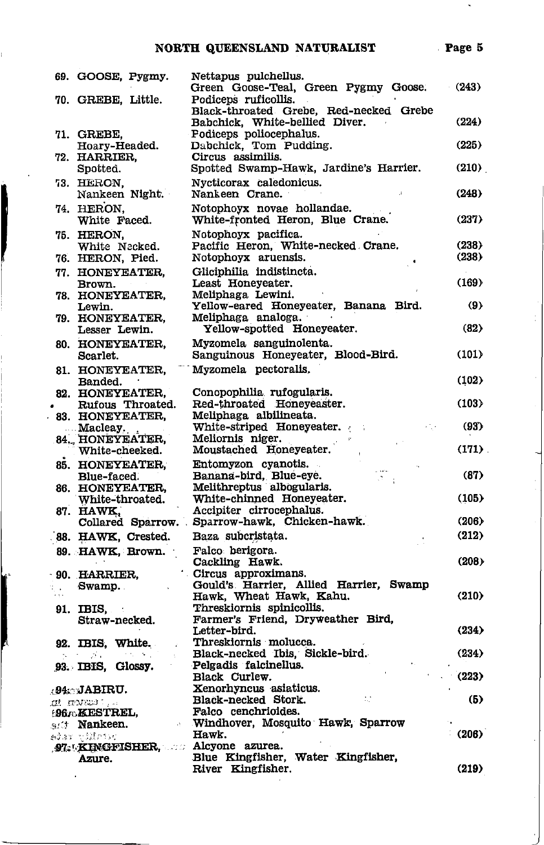### NORTH QUEENSLAND NATURALIST Page 5

| 69. GOOSE, Pygmy.                         | Nettapus pulchellus.<br>Green Goose-Teal, Green Pygmy Goose.                                     | (243)               |
|-------------------------------------------|--------------------------------------------------------------------------------------------------|---------------------|
| 70. GREBE, Little.                        | Podiceps ruficollis.<br>Black-throated Grebe, Red-necked Grebe<br>Babchick, White-bellied Diver. | (224)               |
| 71. GREBE,<br>Hoary-Headed.               | Podiceps poliocephalus.<br>Dabchick, Tom Pudding.                                                | (225)               |
| 72. HARRIER,<br>Spotted.                  | Circus assimilis.<br>Spotted Swamp-Hawk, Jardine's Harrier.                                      | (210)               |
| 73. HERON.<br>Nankeen Night.              | Nycticorax caledonicus.<br>Nankeen Crane.                                                        | (248)               |
| 74. HERON.<br>White Faced.                | Notophoyx novae hollandae.<br>White-fronted Heron, Blue Crane.                                   | (237)               |
| 75. HERON.                                | Notophoyx pacifica.<br>Pacific Heron, White-necked Crane.                                        | (238)               |
| White Necked.<br>76. HERON, Pied.         | Notophoyx aruensis.                                                                              | (238)               |
| 77. HONEYEATER,<br>Brown.                 | Gliciphilia indistincta.<br>Least Honeyeater.                                                    | (169)               |
| 78. HONEYEATER.<br>Lewin.                 | Meliphaga Lewini.<br>Yellow-eared Honeyeater, Banana Bird.                                       | $\langle 9 \rangle$ |
| 79. HONEYEATER,<br>Lesser Lewin.          | Meliphaga analoga.<br>Yellow-spotted Honeyeater.                                                 | (82)                |
| 80. HONEYEATER,<br>Scarlet.               | Myzomela sanguinolenta.<br>Sanguinous Honeyeater, Blood-Bird.                                    | (101)               |
| 81. HONEYEATER,<br>Banded.                | Myzomela pectoralis,                                                                             | (102)               |
| 82. HONEYEATER,                           | Conopophilia rufogularis.                                                                        |                     |
| Rufous Throated.                          | Red-throated Honeyeaster.                                                                        | (103)               |
| 83. HONEYEATER,<br>Macleay.               | Meliphaga albilineata.<br>White-striped Honeyeater.                                              | (93)                |
| <b>84., HONÉYEATER,</b><br>White-cheeked. | Meliornis niger.<br>Moustached Honeyeater.                                                       | (171)               |
| 85. HONEYEATER,                           | Entomyzon cyanotis.                                                                              |                     |
| Blue-faced.                               | Banana-bird, Blue-eye.<br>Melithreptus albogularis.                                              | (87)                |
| 86. HONEYEATER,<br>White-throated.        | White-chinned Honeyeater.                                                                        | (105)               |
| 87. HAWK,                                 | Accipiter cirrocephalus.                                                                         |                     |
|                                           | Collared Sparrow. Sparrow-hawk, Chicken-hawk.                                                    | (206)               |
| 88. HAWK, Crested.                        | Baza subcristata.                                                                                | (212)               |
| 89. HAWK, Brown.                          | Falco berigora.<br>Cackling Hawk.                                                                | (208)               |
| 90. HARRIER,                              | Circus approximans.                                                                              |                     |
| Swamp.                                    | Gould's Harrier, Allied Harrier, Swamp<br>Hawk, Wheat Hawk, Kahu.                                | (210)               |
| 91. IBIS,                                 | Threskiornis spinicollis.                                                                        |                     |
| Straw-necked.                             | Farmer's Friend, Dryweather Bird,<br>Letter-bird.                                                | (234)               |
| 92. IBIS, White.                          | Threskiornis molucca.                                                                            |                     |
| かけ 逆に                                     | Black-necked Ibis, Sickle-bird.                                                                  | (234)               |
| 93. IBIS, Glossy.                         | Pelgadis falcinellus.<br>Black Curlew.                                                           | (223)               |
| .94. JABIRU.                              | Xenorhyncus asiaticus.                                                                           |                     |
| αt αwas:                                  | Black-necked Stork.                                                                              | (5)                 |
| <b>:9670KESTREL,</b>                      | Falco cenchrioides.                                                                              |                     |
| <sub>9</sub> . <b>Nankeen.</b>            | Windhover, Mosquito Hawk, Sparrow<br>Hawk.                                                       | (206)               |
| edar vilbur                               |                                                                                                  |                     |

Blue Kingfisher, Water Kingfisher,<br>River Kingfisher.

97. KINGFISHER, Alcyone azurea. Azure.

 $\overline{a}$ 

J

 $(219)$ 

L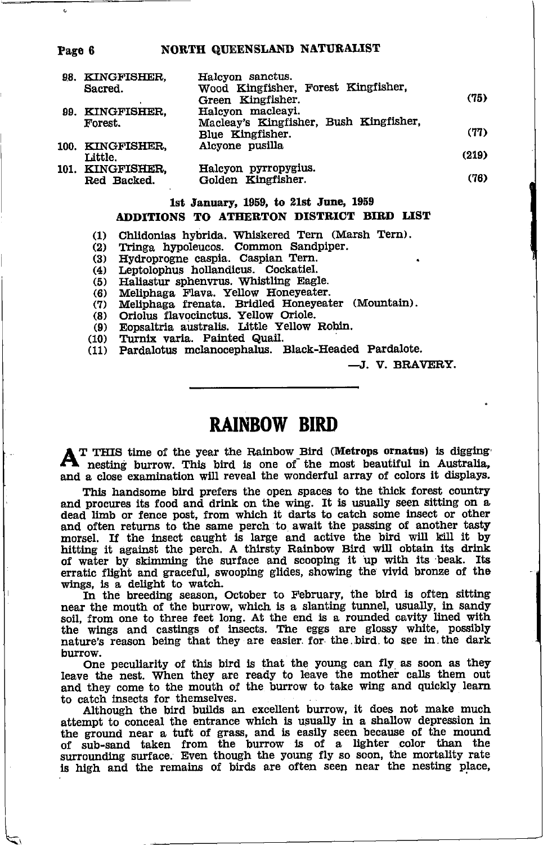#### NORTH QUEENSLAND NATURALIST

| 98. KINGFISHER.<br>Sacred. | Halcyon sanctus.<br>Wood Kingfisher, Forest Kingfisher, |       |
|----------------------------|---------------------------------------------------------|-------|
|                            | Green Kingfisher.                                       | (75)  |
| 99. KINGFISHER.            | Halcyon macleayi.                                       |       |
| Forest.                    | Macleay's Kingfisher, Bush Kingfisher,                  |       |
|                            | Blue Kingfisher.                                        | (77)  |
| 100. KINGFISHER.           | Alcyone pusilla                                         |       |
| Little.                    |                                                         | (219) |
| 101. KINGFISHER.           | Halcyon pyrropygius.                                    |       |
| Red Backed.                | Golden Kingfisher.                                      | (76)  |

#### 1st January, 1959, to 21st June, 1959 ADDITIONS TO ATHERTON DISTRICT BIRD LIST

Chlidonias hybrida. Whiskered Tern (Marsh Tern).  $(1)$ 

Tringa hypoleucos. Common Sandpiper.<br>Hydroprogne caspia. Caspian Tern.  $(2)$ 

 $(3)$ 

 $(4)$ Leptolophus hollandicus. Cockatiel.

Haliastur sphenvrus. Whistling Eagle.  $(5)$ 

Meliphaga Flava. Yellow Honeyeater.  $(6)$ 

Meliphaga frenata. Bridled Honeyeater (Mountain).<br>Oriolus flavocinctus. Yellow Oriole.<br>Eopsaltria australis. Little Yellow Robin.  $(7)$ 

 $(8)$ 

 $(9)$ 

Turnix varia. Painted Quail.  $(10)$ 

Pardalotus mclanocephalus. Black-Headed Pardalote.  $(11)$ 

-J. V. BRAVERY.

### **RAINBOW BIRD**

T THIS time of the year the Rainbow Bird (Metrops ornatus) is digging nesting burrow. This bird is one of the most beautiful in Australia, and a close examination will reveal the wonderful array of colors it displays.

This handsome bird prefers the open spaces to the thick forest country and procures its food and drink on the wing. It is usually seen sitting on a dead limb or fence post, from which it darts to catch some insect or other and often returns to the same perch to await the passing of another tasty morsel. If the insect caught is large and active the bird will kill it by hitting it against the perch. A thirsty Rainbow Bird will obtain its drink of water by skimming the surface and scooping it up with its beak. Its erratic flight and graceful, swooping glides, showing the vivid bronze of the wings, is a delight to watch.

In the breeding season, October to February, the bird is often sitting near the mouth of the burrow, which is a slanting tunnel, usually, in sandy soil, from one to three feet long. At the end is a rounded cavity lined with the wings and castings of insects. The eggs are glossy white, possibly nature's reason being that they are easier for the bird to see in the dark hurrow.

One peculiarity of this bird is that the young can fly as soon as they leave the nest. When they are ready to leave the mother calls them out and they come to the mouth of the burrow to take wing and quickly learn to catch insects for themselves.

Although the bird builds an excellent burrow, it does not make much attempt to conceal the entrance which is usually in a shallow depression in the ground near a tuff of grass, and is easily seen because of the mound<br>of sub-sand taken from the burrow is of a lighter color than the<br>surrounding surface. Even though the young fly so soon, the mortality rate is high and the remains of birds are often seen near the nesting place,

#### Page 6

 $\epsilon$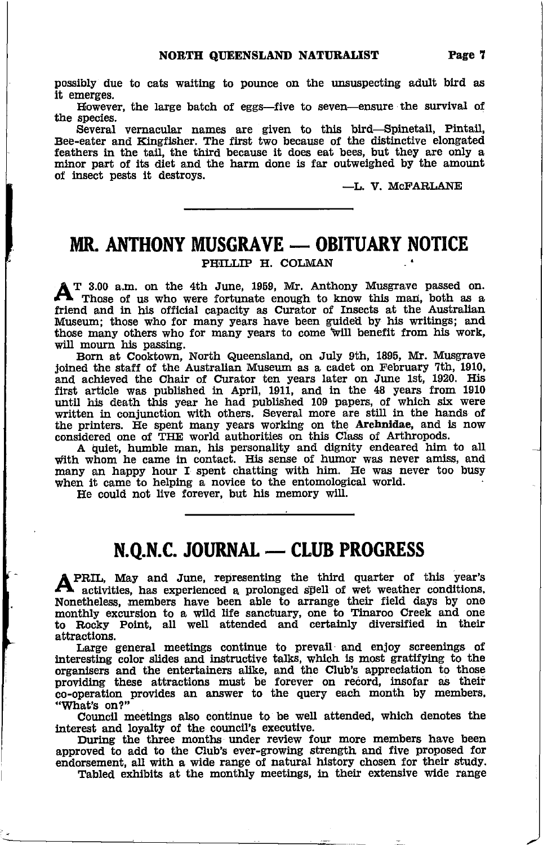possibly due to cats waitlng to pounce on the unswpecting adult blrd as it emerges.

However, the large batch of eggs-five to seven-ensure the survival of the species.

Several vernacular names are glven to thts blrd-Sphretail, Pintail, Bee-eater and Kingfisher. The first two because of the distinctive elongated feathers in the tail, the third because it does eat bees, but they are only a minor part of its diet and the harm done is far outweighed by the amount of insect pests it destroys.

-L. V. McFARLANE

## MR. ANTHONY MUSGRAVE — OBITUARY NOTICE

#### PHILLIP H. COLMAN

 $\mathbf{A}$ <sup>T</sup> 3.00 a.m. on the 4th June, 1959, Mr. Anthony Musgrave passed on. Those of us who were fortunate enough to know this man, both as a friend and in his official capacity as Curator of Insects at the Australian Museum; those who for many years have been guided by his writings; and those many others who for many years to come will benefit from his work, will mourn his passing.

Born at Cooktown, North Queensland, on July gth, 1895, Mr. Musgrave joined the staff of the Australian Museum as a cadet on February 7th, 1910, and achieved the Chair of Curator ten years later on June 1st, 1920. His first article was published fur April, 19U, and in the 48 years from <sup>1910</sup> until his death this year he had published 109 papers, of which six were written in conjunction with others. Several more are still in the hands of the printers. He spent many years working on the Archnidae, and is now considered one of THE world authorities on this Class of Arthropods.

A Qulet, humble man, his personality and dignity endeared him to all with whom he came in contact. His sense of humor was never amiss, and many an happy hour I spent chatting with him. He was never too busy when it came to helping a novice to the entomological world

He could not live forever, but his memory wlll,

# N.Q.N.C. JouRNAt - CLUB PROGRESS

PRIL, May and June, representing the third quarter of this year's A activities, has experienced a prolonged spell of wet weather conditions. Nonetheless, members have been able to arrange their field days by one monthly excursion to a wild life sanctuary, one to Tinaroo Creek and one<br>to Rocky Point, all well attended and certainly diversified in their attractions.

Large general meetings continue to prevail and enjoy screenings of interesting color slides and instructive talks, which is most gratifying to the lnterestlng color slides and instructive talks, which is most gratifyhg to the organlsers and the entertatrers aUke, and the Club's appreclation to those providing these attractions must be forever on record, insofar as their<br>co-operation provides an answer to the query each month by members "What's on?"

Council meetings also continue to be well attended, which denotes the interest and loyalty of the council's executive.

During the three months under review four more members have been approved to add to the Club's ever-growing strength and flve proposed for endorsement, all with a wide range of natural history chosen for their study. Tabled exhibits at the monthly meetings, in their extensive wide range